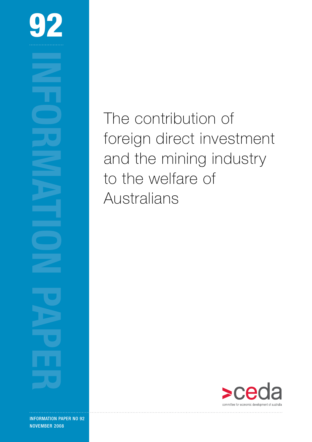

**INFORMATION PAPER 2008**<br> **INFORMATION PAPER** 2008

information paper no 92 NOVEMBER 2008

The contribution of foreign direct investment and the mining industry to the welfare of Australians

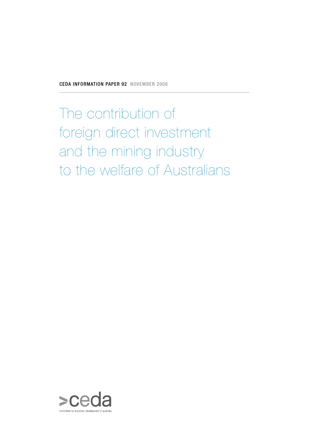The contribution of foreign direct investment and the mining industry to the welfare of Australians

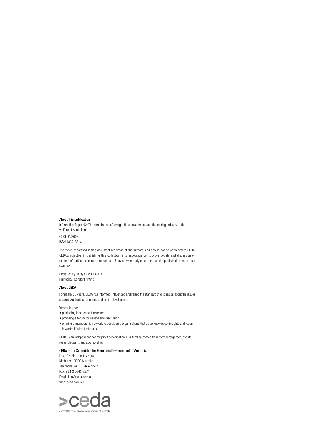### About this publication

Information Paper 92: The contribution of foreign direct investment and the mining industry to the welfare of Australians © CEDA 2008 ISSN 1832-8814

The views expressed in this document are those of the authors, and should not be attributed to CEDA. CEDA's objective in publishing this collection is to encourage constructive debate and discussion on matters of national economic importance. Persons who reply upon the material published do so at their own risk.

Designed by: Robyn Zwar Design Printed by: Condor Printing

### About CEDA

For nearly 50 years, CEDA has informed, influenced and raised the standard of discussion about the issues shaping Australia's economic and social development.

### We do this by:

- publishing independent research
- providing a forum for debate and discussion
- offering a membership network to people and organisations that value knowledge, insights and ideas in Australia's best interests.

CEDA is an independent not-for-profit organisation. Our funding comes from membership fees, events, research grants and sponsorship.

### CEDA – the Committee for Economic Development of Australia

Level 13, 440 Collins Street Melbourne 3000 Australia Telephone: +61 3 9662 3544 Fax: +61 3 9663 7271 Email: info@ceda.com.au Web: ceda.com.au

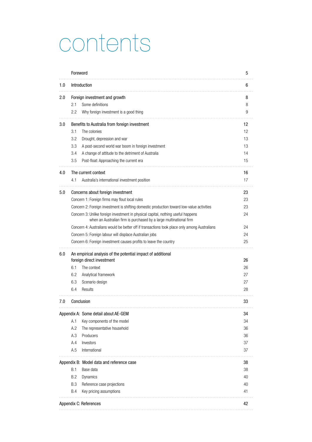### contents

|     | Foreword                                                                                                                                               | 5  |
|-----|--------------------------------------------------------------------------------------------------------------------------------------------------------|----|
| 1.0 | Introduction                                                                                                                                           | 6  |
| 2.0 | Foreign investment and growth                                                                                                                          | 8  |
|     | Some definitions<br>2.1                                                                                                                                | 8  |
|     | 2.2<br>Why foreign investment is a good thing                                                                                                          | 9  |
| 3.0 | Benefits to Australia from foreign investment                                                                                                          | 12 |
|     | 3.1<br>The colonies                                                                                                                                    | 12 |
|     | 3.2<br>Drought, depression and war                                                                                                                     | 13 |
|     | 3.3<br>A post-second world war boom in foreign investment                                                                                              | 13 |
|     | 3.4<br>A change of attitude to the detriment of Australia                                                                                              | 14 |
|     | 3.5<br>Post-float: Approaching the current era                                                                                                         | 15 |
| 4.0 | The current context                                                                                                                                    | 16 |
|     | 4.1<br>Australia's international investment position                                                                                                   | 17 |
| 5.0 | Concerns about foreign investment                                                                                                                      | 23 |
|     | Concern 1: Foreign firms may flout local rules                                                                                                         | 23 |
|     | Concern 2: Foreign investment is shifting domestic production toward low-value activities                                                              | 23 |
|     | Concern 3: Unlike foreign investment in physical capital, nothing useful happens<br>when an Australian firm is purchased by a large multinational firm | 24 |
|     | Concern 4: Australians would be better off if transactions took place only among Australians                                                           | 24 |
|     | Concern 5: Foreign labour will displace Australian jobs                                                                                                | 24 |
|     | Concern 6: Foreign investment causes profits to leave the country                                                                                      | 25 |
| 6.0 | An empirical analysis of the potential impact of additional                                                                                            |    |
|     | foreign direct investment                                                                                                                              | 26 |
|     | 6.1<br>The context                                                                                                                                     | 26 |
|     | 6.2<br>Analytical framework                                                                                                                            | 27 |
|     | 6.3<br>Scenario design                                                                                                                                 | 27 |
|     | 6.4<br>Results                                                                                                                                         | 28 |
| 7.0 | Conclusion                                                                                                                                             | 33 |
|     | Appendix A: Some detail about AE-GEM                                                                                                                   | 34 |
|     | A.1<br>Key components of the model                                                                                                                     | 34 |
|     | A.2<br>The representative household                                                                                                                    | 36 |
|     | A.3<br>Producers                                                                                                                                       | 36 |
|     | A.4<br>Investors                                                                                                                                       | 37 |
|     | A.5<br>International                                                                                                                                   | 37 |
|     | Appendix B: Model data and reference case                                                                                                              | 38 |
|     | B.1<br>Base data                                                                                                                                       | 38 |
|     | B.2<br><b>Dynamics</b>                                                                                                                                 | 40 |
|     | <b>B.3</b><br>Reference case projections                                                                                                               | 40 |
|     | B.4<br>Key pricing assumptions                                                                                                                         | 41 |
|     | Appendix C: References                                                                                                                                 | 42 |
|     |                                                                                                                                                        |    |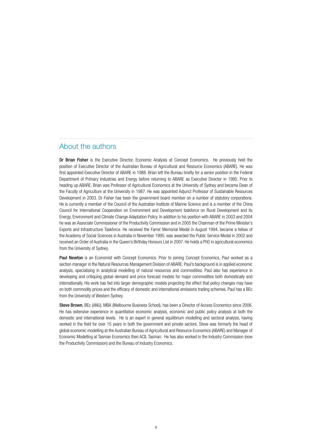### About the authors

Dr Brian Fisher is the Executive Director, Economic Analysis at Concept Economics. He previously held the position of Executive Director of the Australian Bureau of Agricultural and Resource Economics (ABARE). He was first appointed Executive Director of ABARE in 1988. Brian left the Bureau briefly for a senior position in the Federal Department of Primary Industries and Energy before returning to ABARE as Executive Director in 1995. Prior to heading up ABARE, Brian was Professor of Agricultural Economics at the University of Sydney and became Dean of the Faculty of Agriculture at the University in 1987. He was appointed Adjunct Professor of Sustainable Resources Development in 2003. Dr Fisher has been the government board member on a number of statutory corporations. He is currently a member of the Council of the Australian Institute of Marine Science and is a member of the China Council for International Cooperation on Environment and Development taskforce on Rural Development and its Energy, Environment and Climate Change Adaptation Policy. In addition to his position with ABARE in 2003 and 2004 he was an Associate Commissioner of the Productivity Commission and in 2005 the Chairman of the Prime Minister's Exports and Infrastructure Taskforce. He received the Farrer Memorial Medal in August 1994, became a fellow of the Academy of Social Sciences in Australia in November 1995, was awarded the Public Service Medal in 2002 and received an Order of Australia in the Queen's Birthday Honours List in 2007. He holds a PhD in agricultural economics from the University of Sydney.

Paul Newton is an Economist with Concept Economics. Prior to joining Concept Economics. Paul worked as a section manager in the Natural Resources Management Division of ABARE. Paul's background is in applied economic analysis, specialising in analytical modelling of natural resources and commodities. Paul also has experience in developing and critiquing global demand and price forecast models for major commodities both domestically and internationally. His work has fed into larger demographic models projecting the effect that policy changes may have on both commodity prices and the efficacy of domestic and international emissions trading schemes. Paul has a BEc from the University of Western Sydney.

Steve Brown, BEc (ANU), MBA (Melbourne Business School), has been a Director of Access Economics since 2006. He has extensive experience in quantitative economic analysis, economic and public policy analysis at both the domestic and international levels. He is an expert in general equilibrium modelling and sectoral analysis, having worked in the field for over 15 years in both the government and private sectors. Steve was formerly the head of global economic modelling at the Australian Bureau of Agricultural and Resource Economics (ABARE) and Manager of Economic Modelling at Tasman Economics then ACIL Tasman. He has also worked in the Industry Commission (now the Productivity Commission) and the Bureau of Industry Economics.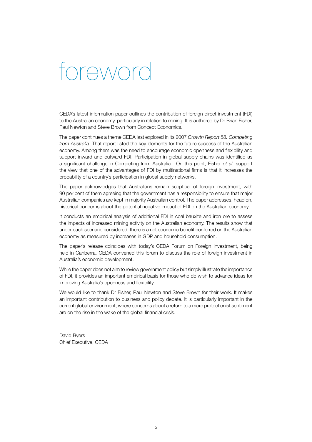### foreword

CEDA's latest information paper outlines the contribution of foreign direct investment (FDI) to the Australian economy, particularly in relation to mining. It is authored by Dr Brian Fisher, Paul Newton and Steve Brown from Concept Economics.

The paper continues a theme CEDA last explored in its 2007 *Growth Report 58: Competing from Australia*. That report listed the key elements for the future success of the Australian economy. Among them was the need to encourage economic openness and flexibility and support inward and outward FDI. Participation in global supply chains was identified as a significant challenge in Competing from Australia. On this point, Fisher *et al*. support the view that one of the advantages of FDI by multinational firms is that it increases the probability of a country's participation in global supply networks.

The paper acknowledges that Australians remain sceptical of foreign investment, with 90 per cent of them agreeing that the government has a responsibility to ensure that major Australian companies are kept in majority Australian control. The paper addresses, head on, historical concerns about the potential negative impact of FDI on the Australian economy.

It conducts an empirical analysis of additional FDI in coal bauxite and iron ore to assess the impacts of increased mining activity on the Australian economy. The results show that under each scenario considered, there is a net economic benefit conferred on the Australian economy as measured by increases in GDP and household consumption.

The paper's release coincides with today's CEDA Forum on Foreign Investment, being held in Canberra. CEDA convened this forum to discuss the role of foreign investment in Australia's economic development.

While the paper does not aim to review government policy but simply illustrate the importance of FDI, it provides an important empirical basis for those who do wish to advance ideas for improving Australia's openness and flexibility.

We would like to thank Dr Fisher, Paul Newton and Steve Brown for their work. It makes an important contribution to business and policy debate. It is particularly important in the current global environment, where concerns about a return to a more protectionist sentiment are on the rise in the wake of the global financial crisis.

David Byers Chief Executive, CEDA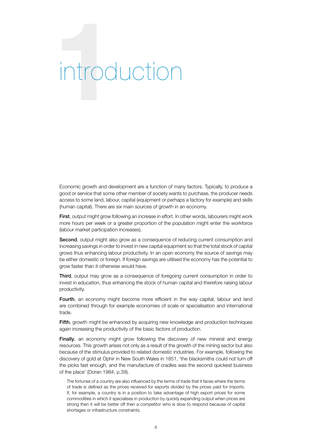# **1**introduction

Economic growth and development are a function of many factors. Typically, to produce a good or service that some other member of society wants to purchase, the producer needs access to some land, labour, capital (equipment or perhaps a factory for example) and skills (human capital). There are six main sources of growth in an economy.

First, output might grow following an increase in effort. In other words, labourers might work more hours per week or a greater proportion of the population might enter the workforce (labour market participation increases).

Second, output might also grow as a consequence of reducing current consumption and increasing savings in order to invest in new capital equipment so that the total stock of capital grows thus enhancing labour productivity. In an open economy the source of savings may be either domestic or foreign. If foreign savings are utilised the economy has the potential to grow faster than it otherwise would have.

Third, output may grow as a consequence of foregoing current consumption in order to invest in education, thus enhancing the stock of human capital and therefore raising labour productivity.

Fourth, an economy might become more efficient in the way capital, labour and land are combined through for example economies of scale or specialisation and international trade.

Fifth, growth might be enhanced by acquiring new knowledge and production techniques again increasing the productivity of the basic factors of production.

**Finally**, an economy might grow following the discovery of new mineral and energy resources. This growth arises not only as a result of the growth of the mining sector but also because of the stimulus provided to related domestic industries. For example, following the discovery of gold at Ophir in New South Wales in 1851, 'the blacksmiths could not turn off the picks fast enough, and the manufacture of cradles was the second quickest business of the place' (Doran 1984, p.39).

The fortunes of a country are also influenced by the terms of trade that it faces where the terms of trade is defined as the prices received for exports divided by the prices paid for imports. If, for example, a country is in a position to take advantage of high export prices for some commodities in which it specialises in production by quickly expanding output when prices are strong then it will be better off then a competitor who is slow to respond because of capital shortages or infrastructure constraints.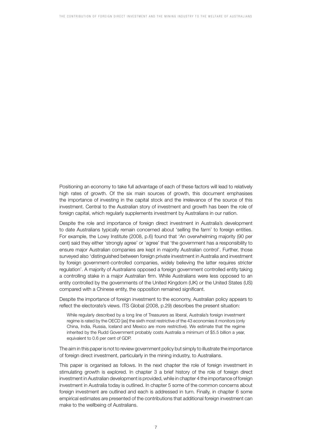Positioning an economy to take full advantage of each of these factors will lead to relatively high rates of growth. Of the six main sources of growth, this document emphasises the importance of investing in the capital stock and the irrelevance of the source of this investment. Central to the Australian story of investment and growth has been the role of foreign capital, which regularly supplements investment by Australians in our nation.

Despite the role and importance of foreign direct investment in Australia's development to date Australians typically remain concerned about 'selling the farm' to foreign entities. For example, the Lowy Institute (2008, p.6) found that 'An overwhelming majority (90 per cent) said they either 'strongly agree' or 'agree' that 'the government has a responsibility to ensure major Australian companies are kept in majority Australian control'. Further, those surveyed also 'distinguished between foreign private investment in Australia and investment by foreign government-controlled companies, widely believing the latter requires stricter regulation'. A majority of Australians opposed a foreign government controlled entity taking a controlling stake in a major Australian firm. While Australians were less opposed to an entity controlled by the governments of the United Kingdom (UK) or the United States (US) compared with a Chinese entity, the opposition remained significant.

Despite the importance of foreign investment to the economy, Australian policy appears to reflect the electorate's views. ITS Global (2008, p.29) describes the present situation:

While regularly described by a long line of Treasurers as liberal, Australia's foreign investment regime is rated by the OECD [as] the sixth most restrictive of the 43 economies it monitors (only China, India, Russia, Iceland and Mexico are more restrictive). We estimate that the regime inherited by the Rudd Government probably costs Australia a minimum of \$5.5 billion a year, equivalent to 0.6 per cent of GDP.

The aim in this paper is not to review government policy but simply to illustrate the importance of foreign direct investment, particularly in the mining industry, to Australians.

This paper is organised as follows. In the next chapter the role of foreign investment in stimulating growth is explored. In chapter 3 a brief history of the role of foreign direct investment in Australian development is provided, while in chapter 4 the importance of foreign investment in Australia today is outlined. In chapter 5 some of the common concerns about foreign investment are outlined and each is addressed in turn. Finally, in chapter 6 some empirical estimates are presented of the contributions that additional foreign investment can make to the wellbeing of Australians.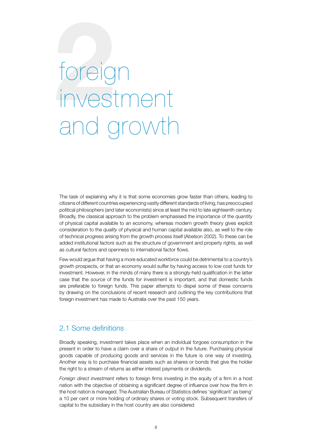# **2**foreign investment and growth

The task of explaining why it is that some economies grow faster than others, leading to citizens of different countries experiencing vastly different standards of living, has preoccupied political philosophers (and later economists) since at least the mid to late eighteenth century. Broadly, the classical approach to the problem emphasised the importance of the *quantity* of physical capital available to an economy, whereas modern growth theory gives explicit consideration to the *quality* of physical and human capital available also, as well to the role of technical progress arising from the growth process itself (Abelson 2002). To these can be added institutional factors such as the structure of government and property rights, as well as cultural factors and openness to international factor flows.

Few would argue that having a more educated workforce could be detrimental to a country's growth prospects, or that an economy would suffer by having access to low cost funds for investment. However, in the minds of many there is a strongly-held qualification in the latter case that the *source* of the funds for investment is important, and that domestic funds are preferable to foreign funds. This paper attempts to dispel some of these concerns by drawing on the conclusions of recent research and outlining the key contributions that foreign investment has made to Australia over the past 150 years.

### 2.1 Some definitions

Broadly speaking, investment takes place when an individual forgoes consumption in the present in order to have a claim over a share of output in the future. Purchasing physical goods capable of producing goods and services in the future is one way of investing. Another way is to purchase financial assets such as shares or bonds that give the holder the right to a stream of returns as either interest payments or dividends.

*Foreign direct investment* refers to foreign firms investing in the equity of a firm in a host nation with the objective of obtaining a significant degree of influence over how the firm in the host nation is managed. The Australian Bureau of Statistics defines 'significant' as being' a 10 per cent or more holding of ordinary shares or voting stock. Subsequent transfers of capital to the subsidiary in the host country are also considered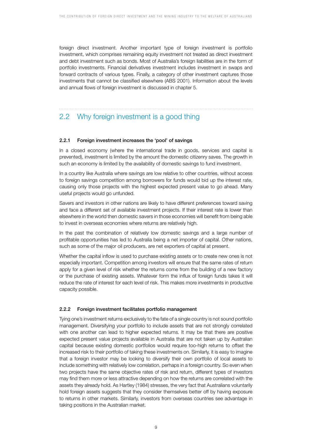foreign direct investment. Another important type of foreign investment is portfolio investment, which comprises remaining equity investment not treated as direct investment and debt investment such as bonds. Most of Australia's foreign liabilities are in the form of portfolio investments. Financial derivatives investment includes investment in swaps and forward contracts of various types. Finally, a category of other investment captures those investments that cannot be classified elsewhere (ABS 2001). Information about the levels and annual flows of foreign investment is discussed in chapter 5.

### 2.2 Why foreign investment is a good thing

### 2.2.1 Foreign investment increases the 'pool' of savings

In a closed economy (where the international trade in goods, services and capital is prevented), investment is limited by the amount the domestic citizenry saves. The growth in such an economy is limited by the availability of domestic savings to fund investment.

In a country like Australia where savings are low relative to other countries, without access to foreign savings competition among borrowers for funds would bid up the interest rate, causing only those projects with the highest expected present value to go ahead. Many useful projects would go unfunded.

Savers and investors in other nations are likely to have different preferences toward saving and face a different set of available investment projects. If their interest rate is lower than elsewhere in the world then domestic savers in those economies will benefit from being able to invest in overseas economies where returns are relatively high.

In the past the combination of relatively low domestic savings and a large number of profitable opportunities has led to Australia being a net importer of capital. Other nations, such as some of the major oil producers, are net exporters of capital at present.

Whether the capital inflow is used to purchase existing assets or to create new ones is not especially important. Competition among investors will ensure that the same rates of return apply for a given level of risk whether the returns come from the building of a new factory or the purchase of existing assets. Whatever form the influx of foreign funds takes it will reduce the rate of interest for each level of risk. This makes more investments in productive capacity possible.

### 2.2.2 Foreign investment facilitates portfolio management

Tying one's investment returns exclusively to the fate of a single country is not sound portfolio management. Diversifying your portfolio to include assets that are not strongly correlated with one another can lead to higher expected returns. It may be that there are positive expected present value projects available in Australia that are not taken up by Australian capital because existing domestic portfolios would require too-high returns to offset the increased risk to their portfolio of taking these investments on. Similarly, it is easy to imagine that a foreign investor may be looking to diversify their own portfolio of local assets to include something with relatively low correlation, perhaps in a foreign country. So even when two projects have the same objective rates of risk and return, different types of investors may find them more or less attractive depending on how the returns are correlated with the assets they already hold. As Hartley (1984) stresses, the very fact that Australians voluntarily hold foreign assets suggests that they consider themselves better off by having exposure to returns in other markets. Similarly, investors from overseas countries see advantage in taking positions in the Australian market.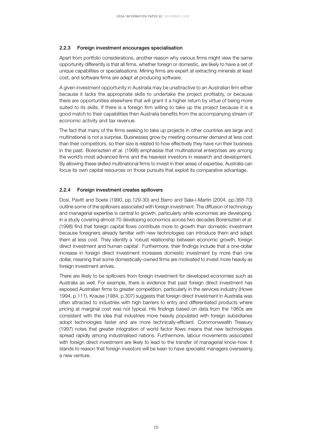### 2.2.3 Foreign investment encourages specialisation

Apart from portfolio considerations, another reason why various firms might view the same opportunity differently is that all firms, whether foreign or domestic, are likely to have a set of unique capabilities or specialisations. Mining firms are expert at extracting minerals at least cost, and software firms are adept at producing software.

A given investment opportunity in Australia may be unattractive to an Australian firm either because it lacks the appropriate skills to undertake the project profitably, or because there are opportunities elsewhere that will grant it a higher return by virtue of being more suited to its skills. If there is a foreign firm willing to take up the project because it is a good match to their capabilities then Australia benefits from the accompanying stream of economic activity and tax revenue.

The fact that many of the firms seeking to take up projects in other countries are large and multinational is not a surprise. Businesses grow by meeting consumer demand at less cost than their competitors, so their size is related to how effectively they have run their business in the past. Borensztein *et al*. (1998) emphasise that multinational enterprises are among the world's most advanced firms and the heaviest investors in research and development. By allowing these skilled multinational firms to invest in their areas of expertise, Australia can focus its own capital resources on those pursuits that exploit its comparative advantage.

### 2.2.4 Foreign investment creates spillovers

Dosi, Pavitt and Soete (1990, pp.129-30) and Barro and Sala-i-Martin (2004, pp.368-70) outline some of the spillovers associated with foreign investment. The diffusion of technology and managerial expertise is central to growth, particularly while economies are developing. In a study covering almost 70 developing economics across two decades Borensztein *et al*. (1998) find that foreign capital flows contribute more to growth than domestic investment because foreigners already familiar with new technologies can introduce them and adapt them at less cost. They identify a 'robust relationship between economic growth, foreign direct investment and human capital'. Furthermore, their findings include that a one-dollar increase in foreign direct investment increases domestic investment by more than one dollar, meaning that some domestically-owned firms are motivated to invest more heavily as foreign investment arrives.

There are likely to be spillovers from foreign investment for developed economies such as Australia as well. For example, there is evidence that past foreign direct investment has exposed Australian firms to greater competition, particularly in the services industry (Howe 1994, p.111). Krause (1984, p.307) suggests that foreign direct investment in Australia was often attracted to industries with high barriers to entry and differentiated products where pricing at marginal cost was not typical. His findings based on data from the 1960s are consistent with the idea that industries more heavily populated with foreign subsidiaries adopt technologies faster and are more technically-efficient. Commonwealth Treasury (1997) notes that greater integration of world factor flows means that new technologies spread rapidly among industrialised nations. Furthermore, labour movements associated with foreign direct investment are likely to lead to the transfer of managerial know-how. It stands to reason that foreign investors will be keen to have specialist managers overseeing a new venture.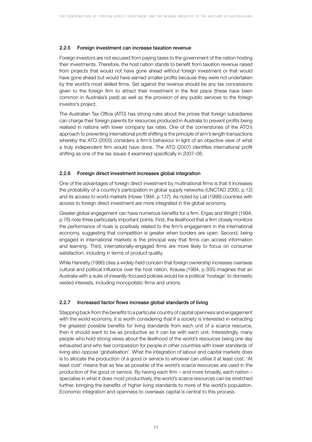### 2.2.5 Foreign investment can increase taxation revenue

Foreign investors are not excused from paying taxes to the government of the nation hosting their investments. Therefore, the host nation stands to benefit from taxation revenue raised from projects that would not have gone ahead without foreign investment or that would have gone ahead but would have earned smaller profits because they were not undertaken by the world's most skilled firms. Set against the revenue should be any tax concessions given to the foreign firm to attract their investment in the first place (these have been common in Australia's past) as well as the provision of any public services to the foreign investor's project.

The Australian Tax Office (ATO) has strong rules about the prices that foreign subsidiaries can charge their foreign parents for resources produced in Australia to prevent profits being realised in nations with lower company tax rates. One of the cornerstones of the ATO's approach to preventing international profit shifting is the principle of arm's length transactions whereby the ATO (2005) considers a firm's behaviour in light of an objective view of what a truly independent firm would have done. The ATO (2007) identifies international profit shifting as one of the tax issues it examined specifically in 2007–08.

### 2.2.6 Foreign direct investment increases global integration

One of the advantages of foreign direct investment by multinational firms is that it increases the probability of a country's participation in global supply networks (UNCTAD 2000, p.12) and its access to world markets (Howe 1994, p.137). As noted by Lall (1998) countries with access to foreign direct investment are more integrated in the global economy.

Greater global engagement can have numerous benefits for a firm. Ergas and Wright (1994, p.76) note three particularly important points. First, the likelihood that a firm closely monitors the performance of rivals is positively related to the firm's engagement in the international economy, suggesting that competition is greater when borders are open. Second, being engaged in international markets is the principal way that firms can access information and learning. Third, internationally-engaged firms are more likely to focus on consumer satisfaction, including in terms of product quality.

While Hanratty (1996) cites a widely-held concern that foreign ownership increases overseas cultural and political influence over the host nation, Krause (1984, p.305) imagines that an Australia with a suite of inwardly-focused policies would be a political 'hostage' to domestic vested interests, including monopolistic firms and unions.

### 2.2.7 Increased factor flows increase global standards of living

Stepping back from the benefits to a particular country of capital openness and engagement with the world economy, it is worth considering that if a society is interested in extracting the greatest possible benefits for living standards from each unit of a scarce resource, then it should want to be as productive as it can be with each unit. Interestingly, many people who hold strong views about the likelihood of the world's resources being one day exhausted and who feel compassion for people in other countries with lower standards of living also oppose 'globalisation'. What the integration of labour and capital markets does is to allocate the production of a good or service to whoever can utilise it at least cost. 'At least cost' means that as few as possible of the world's scarce resources are used in the production of the good or service. By having each firm – and more broadly, each nation – specialise in what it does most productively, the world's scarce resources can be stretched further, bringing the benefits of higher living standards to more of the world's population. Economic integration and openness to overseas capital is central to this process.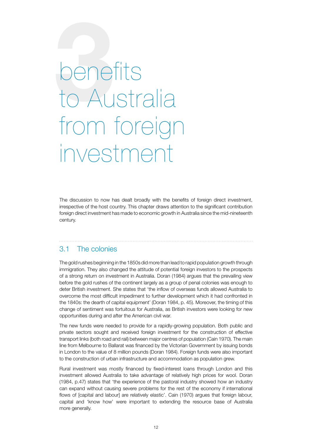## **3**benefits to Australia from foreign investmer

The discussion to now has dealt broadly with the benefits of foreign direct investment, irrespective of the host country. This chapter draws attention to the significant contribution foreign direct investment has made to economic growth in Australia since the mid-nineteenth century.

### 3.1 The colonies

The gold rushes beginning in the 1850s did more than lead to rapid population growth through immigration. They also changed the attitude of potential foreign investors to the prospects of a strong return on investment in Australia. Doran (1984) argues that the prevailing view before the gold rushes of the continent largely as a group of penal colonies was enough to deter British investment. She states that 'the inflow of overseas funds allowed Australia to overcome the most difficult impediment to further development which it had confronted in the 1840s: the dearth of capital equipment' (Doran 1984, p. 45). Moreover, the timing of this change of sentiment was fortuitous for Australia, as British investors were looking for new opportunities during and after the American civil war.

The new funds were needed to provide for a rapidly-growing population. Both public and private sectors sought and received foreign investment for the construction of effective transport links (both road and rail) between major centres of population (Cain 1970). The main line from Melbourne to Ballarat was financed by the Victorian Government by issuing bonds in London to the value of 8 million pounds (Doran 1984). Foreign funds were also important to the construction of urban infrastructure and accommodation as population grew.

Rural investment was mostly financed by fixed-interest loans through London and this investment allowed Australia to take advantage of relatively high prices for wool. Doran (1984, p.47) states that 'the experience of the pastoral industry showed how an industry can expand without causing severe problems for the rest of the economy if international flows of [capital and labour] are relatively elastic'. Cain (1970) argues that foreign labour, capital and 'know how' were important to extending the resource base of Australia more generally.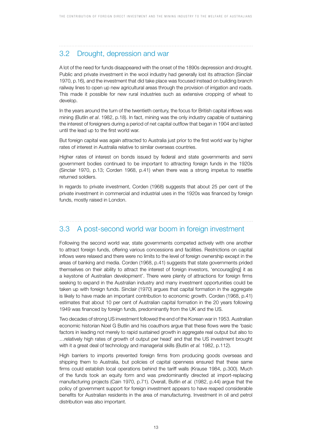### 3.2 Drought, depression and war

A lot of the need for funds disappeared with the onset of the 1890s depression and drought. Public and private investment in the wool industry had generally lost its attraction (Sinclair 1970, p.16), and the investment that did take place was focused instead on building branch railway lines to open up new agricultural areas through the provision of irrigation and roads. This made it possible for new rural industries such as extensive cropping of wheat to develop.

In the years around the turn of the twentieth century, the focus for British capital inflows was mining (Butlin *et al*. 1982, p.18). In fact, mining was the only industry capable of sustaining the interest of foreigners during a period of net capital outflow that began in 1904 and lasted until the lead up to the first world war.

But foreign capital was again attracted to Australia just prior to the first world war by higher rates of interest in Australia relative to similar overseas countries.

Higher rates of interest on bonds issued by federal and state governments and semi government bodies continued to be important to attracting foreign funds in the 1920s (Sinclair 1970, p.13; Corden 1968, p.41) when there was a strong impetus to resettle returned soldiers.

In regards to private investment, Corden (1968) suggests that about 25 per cent of the private investment in commercial and industrial uses in the 1920s was financed by foreign funds, mostly raised in London.

### 3.3 A post-second world war boom in foreign investment

Following the second world war, state governments competed actively with one another to attract foreign funds, offering various concessions and facilities. Restrictions on capital inflows were relaxed and there were no limits to the level of foreign ownership except in the areas of banking and media. Corden (1968, p.41) suggests that state governments prided themselves on their ability to attract the interest of foreign investors, 'encourag[ing] it as a keystone of Australian development'. There were plenty of attractions for foreign firms seeking to expand in the Australian industry and many investment opportunities could be taken up with foreign funds. Sinclair (1970) argues that capital formation in the aggregate is likely to have made an important contribution to economic growth. Corden (1968, p.41) estimates that about 10 per cent of Australian capital formation in the 20 years following 1949 was financed by foreign funds, predominantly from the UK and the US.

Two decades of strong US investment followed the end of the Korean war in 1953. Australian economic historian Noel G Butlin and his coauthors argue that these flows were the 'basic factors in leading not merely to rapid sustained growth in aggregate real output but also to …relatively high rates of growth of output per head' and that the US investment brought with it a great deal of technology and managerial skills (Butlin *et al.* 1982, p.112).

High barriers to imports prevented foreign firms from producing goods overseas and shipping them to Australia, but policies of capital openness ensured that these same firms could establish local operations behind the tariff walls (Krause 1984, p.300). Much of the funds took an equity form and was predominantly directed at import-replacing manufacturing projects (Cain 1970, p.71). Overall, Butlin *et al.* (1982, p.44) argue that the policy of government support for foreign investment appears to have reaped considerable benefits for Australian residents in the area of manufacturing. Investment in oil and petrol distribution was also important.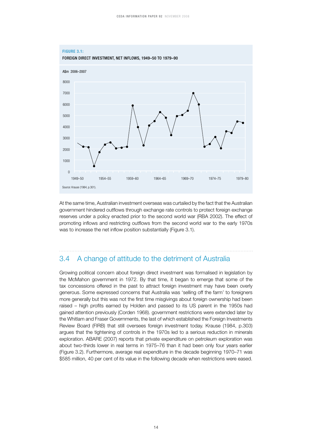

At the same time, Australian investment overseas was curtailed by the fact that the Australian government hindered outflows through exchange rate controls to protect foreign exchange reserves under a policy enacted prior to the second world war (RBA 2002). The effect of promoting inflows and restricting outflows from the second world war to the early 1970s was to increase the net inflow position substantially (Figure 3.1).

### 3.4 A change of attitude to the detriment of Australia

Growing political concern about foreign direct investment was formalised in legislation by the McMahon government in 1972. By that time, it began to emerge that some of the tax concessions offered in the past to attract foreign investment may have been overly generous. Some expressed concerns that Australia was 'selling off the farm' to foreigners more generally but this was not the first time misgivings about foreign ownership had been raised – high profits earned by Holden and passed to its US parent in the 1950s had gained attention previously (Corden 1968). government restrictions were extended later by the Whitlam and Fraser Governments, the last of which established the Foreign Investments Review Board (FIRB) that still oversees foreign investment today. Krause (1984, p.303) argues that the tightening of controls in the 1970s led to a serious reduction in minerals exploration. ABARE (2007) reports that private expenditure on petroleum exploration was about two-thirds lower in real terms in 1975–76 than it had been only four years earlier (Figure 3.2). Furthermore, average real expenditure in the decade beginning 1970–71 was \$585 million, 40 per cent of its value in the following decade when restrictions were eased.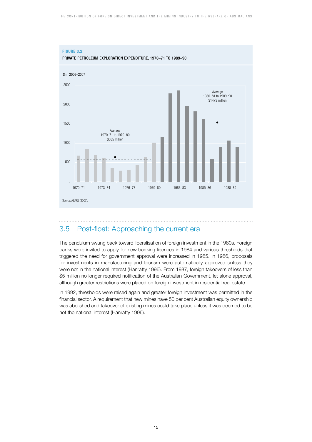

### 3.5 Post-float: Approaching the current era

The pendulum swung back toward liberalisation of foreign investment in the 1980s. Foreign banks were invited to apply for new banking licences in 1984 and various thresholds that triggered the need for government approval were increased in 1985. In 1986, proposals for investments in manufacturing and tourism were automatically approved unless they were not in the national interest (Hanratty 1996). From 1987, foreign takeovers of less than \$5 million no longer required notification of the Australian Government, let alone approval, although greater restrictions were placed on foreign investment in residential real estate.

In 1992, thresholds were raised again and greater foreign investment was permitted in the financial sector. A requirement that new mines have 50 per cent Australian equity ownership was abolished and takeover of existing mines could take place unless it was deemed to be not the national interest (Hanratty 1996).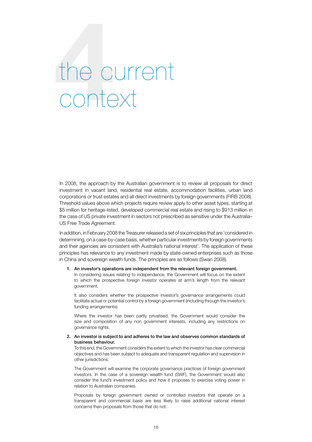# **4**the current context

In 2008, the approach by the Australian government is to review all proposals for direct investment in vacant land, residential real estate, accommodation facilities, urban land corporations or trust estates and all direct investments by foreign governments (FIRB 2008). Threshold values above which projects require review apply to other asset types, starting at \$5 million for heritage-listed, developed commercial real estate and rising to \$913 million in the case of US private investment in sectors not prescribed as sensitive under the Australia– US Free Trade Agreement.

In addition, in February 2008 the Treasurer released a set of six principles that are 'considered in determining, on a case-by-case basis, whether particular investments by foreign governments and their agencies are consistent with Australia's national interest'. The application of these principles has relevance to any investment made by state-owned enterprises such as those in China and sovereign wealth funds. The principles are as follows (Swan 2008).

### 1. An investor's operations are independent from the relevant foreign government.

 In considering issues relating to independence, the Government will focus on the extent to which the prospective foreign investor operates at arm's length from the relevant government.

It also considers whether the prospective investor's governance arrangements could facilitate actual or potential control by a foreign government (including through the investor's funding arrangements).

 Where the investor has been partly privatised, the Government would consider the size and composition of any non government interests, including any restrictions on governance rights.

### 2. An investor is subject to and adheres to the law and observes common standards of business behaviour.

To this end, the Government considers the extent to which the investor has clear commercial objectives and has been subject to adequate and transparent regulation and supervision in other jurisdictions.

 The Government will examine the corporate governance practices of foreign government investors. In the case of a sovereign wealth fund (SWF), the Government would also consider the fund's investment policy and how it proposes to exercise voting power in relation to Australian companies.

 Proposals by foreign government owned or controlled investors that operate on a transparent and commercial basis are less likely to raise additional national interest concerns than proposals from those that do not.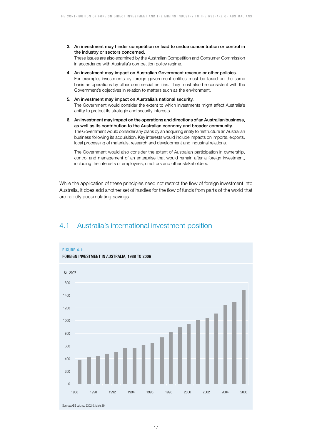3. An investment may hinder competition or lead to undue concentration or control in the industry or sectors concerned.

 These issues are also examined by the Australian Competition and Consumer Commission in accordance with Australia's competition policy regime.

- 4. An investment may impact on Australian Government revenue or other policies. For example, investments by foreign government entities must be taxed on the same basis as operations by other commercial entities. They must also be consistent with the Government's objectives in relation to matters such as the environment.
- 5. An investment may impact on Australia's national security. The Government would consider the extent to which investments might affect Australia's ability to protect its strategic and security interests.
- 6. An investment may impact on the operations and directions of an Australian business, as well as its contribution to the Australian economy and broader community. The Government would consider any plans by an acquiring entity to restructure an Australian business following its acquisition. Key interests would include impacts on imports, exports, local processing of materials, research and development and industrial relations.

 The Government would also consider the extent of Australian participation in ownership, control and management of an enterprise that would remain after a foreign investment, including the interests of employees, creditors and other stakeholders.

While the application of these principles need not restrict the flow of foreign investment into Australia, it does add another set of hurdles for the flow of funds from parts of the world that are rapidly accumulating savings.

### 4.1 Australia's international investment position

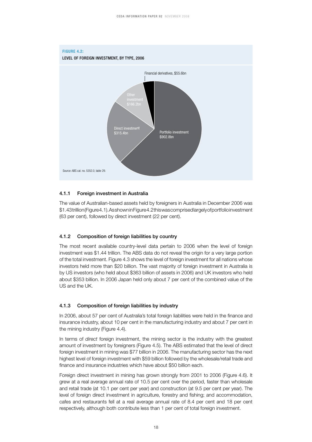

### 4.1.1 Foreign investment in Australia

The value of Australian-based assets held by foreigners in Australia in December 2006 was \$1.43 trillion (Figure 4.1). As shown in Figure 4.2 this was comprised largely of portfolio investment (63 per cent), followed by direct investment (22 per cent).

### 4.1.2 Composition of foreign liabilities by country

The most recent available country-level data pertain to 2006 when the level of foreign investment was \$1.44 trillion. The ABS data do not reveal the origin for a very large portion of the total investment. Figure 4.3 shows the level of foreign investment for all nations whose investors held more than \$20 billion. The vast majority of foreign investment in Australia is by US investors (who held about \$363 billion of assets in 2006) and UK investors who held about \$353 billion. In 2006 Japan held only about 7 per cent of the combined value of the US and the UK.

### 4.1.3 Composition of foreign liabilities by industry

In 2006, about 57 per cent of Australia's total foreign liabilities were held in the finance and insurance industry, about 10 per cent in the manufacturing industry and about 7 per cent in the mining industry (Figure 4.4).

In terms of *direct* foreign investment, the mining sector is the industry with the greatest amount of investment by foreigners (Figure 4.5). The ABS estimated that the level of direct foreign investment in mining was \$77 billion in 2006. The manufacturing sector has the next highest level of foreign investment with \$59 billion followed by the wholesale/retail trade and finance and insurance industries which have about \$50 billion each.

Foreign direct investment in mining has grown strongly from 2001 to 2006 (Figure 4.6). It grew at a real average annual rate of 10.5 per cent over the period, faster than wholesale and retail trade (at 10.1 per cent per year) and construction (at 9.5 per cent per year). The level of foreign direct investment in agriculture, forestry and fishing; and accommodation, cafes and restaurants fell at a real average annual rate of 8.4 per cent and 18 per cent respectively, although both contribute less than 1 per cent of total foreign investment.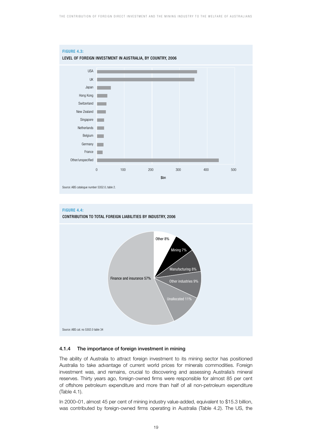



### 4.1.4 The importance of foreign investment in mining

The ability of Australia to attract foreign investment to its mining sector has positioned Australia to take advantage of current world prices for minerals commodities. Foreign investment was, and remains, crucial to discovering and assessing Australia's mineral reserves. Thirty years ago, foreign-owned firms were responsible for almost 85 per cent of offshore petroleum expenditure and more than half of all non-petroleum expenditure (Table 4.1).

In 2000–01, almost 45 per cent of mining industry value-added, equivalent to \$15.3 billion, was contributed by foreign-owned firms operating in Australia (Table 4.2). The US, the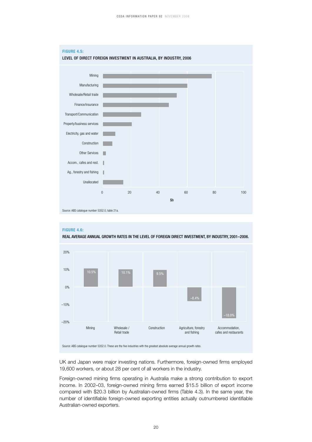



UK and Japan were major investing nations. Furthermore, foreign-owned firms employed 19,600 workers, or about 28 per cent of all workers in the industry.

Foreign-owned mining firms operating in Australia make a strong contribution to export income. In 2002–03, foreign-owned mining firms earned \$15.5 billion of export income compared with \$20.3 billion by Australian-owned firms (Table 4.3). In the same year, the number of identifiable foreign-owned exporting entities actually outnumbered identifiable Australian-owned exporters.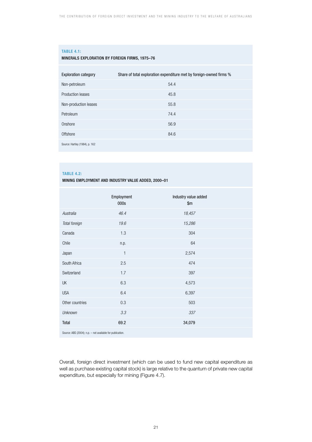### **TABLE 4.1:**

### MINERALS EXPLORATION BY FOREIGN FIRMS, 1975–76

| <b>Exploration category</b>    | Share of total exploration expenditure met by foreign-owned firms % |
|--------------------------------|---------------------------------------------------------------------|
| Non-petroleum                  | 54.4                                                                |
| Production leases              | 45.8                                                                |
| Non-production leases          | 55.8                                                                |
| Petroleum                      | 74.4                                                                |
| Onshore                        | 56.9                                                                |
| Offshore                       | 84.6                                                                |
| Source: Hartley (1984), p. 162 |                                                                     |

### **TABLE 4.2:**

MINING EMPLOYMENT AND INDUSTRY VALUE ADDED, 2000–01

|                                                           | Employment   | Industry value added |  |
|-----------------------------------------------------------|--------------|----------------------|--|
|                                                           | 000s         | \$m\$                |  |
| Australia                                                 | 46.4         | 18,457               |  |
| Total foreign                                             | 19.6         | 15,286               |  |
| Canada                                                    | 1.3          | 304                  |  |
| Chile                                                     | n.p.         | 64                   |  |
| Japan                                                     | $\mathbf{1}$ | 2,574                |  |
| South Africa                                              | 2.5          | 474                  |  |
| Switzerland                                               | 1.7          | 397                  |  |
| UK                                                        | 6.3          | 4,573                |  |
| <b>USA</b>                                                | 6.4          | 6,397                |  |
| Other countries                                           | 0.3          | 503                  |  |
| <b>Unknown</b>                                            | 3.3          | 337                  |  |
| Total                                                     | 69.2         | 34,079               |  |
| Source: ABS (2004); n.p. - not available for publication. |              |                      |  |

Overall, foreign direct investment (which can be used to fund new capital expenditure as well as purchase existing capital stock) is large relative to the quantum of private new capital expenditure, but especially for mining (Figure 4.7).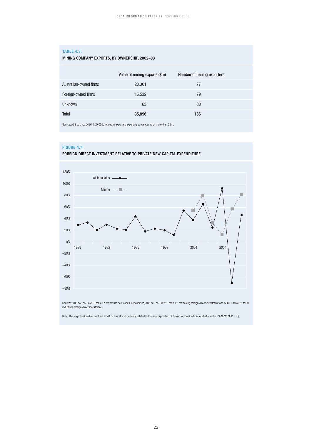### **TABLE 4.3:**

### MINING COMPANy EXPORTS, BY OWNERSHIP, 2002–03

|                        | Value of mining exports (\$m) | Number of mining exporters |
|------------------------|-------------------------------|----------------------------|
| Australian-owned firms | 20,301                        | 77                         |
| Foreign-owned firms    | 15,532                        | 79                         |
| <b>Unknown</b>         | 63                            | 30                         |
| Total                  | 35,896                        | 186                        |
|                        |                               |                            |

Source: ABS cat. no. 5496.0.55.001; relates to exporters exporting goods valued at more than \$1m.

### **FIGURE 4.7:**





Sources: ABS cat. no. 5625.0 table 1a for private new capital expenditure, ABS cat. no. 5352.0 table 20 for mining foreign direct investment and 5302.0 table 25 for all industries foreign direct investment.

Note: The large foreign direct outflow in 2005 was almost certainly related to the reincorporation of News Corporation from Australia to the US (NSWDSRD n.d.).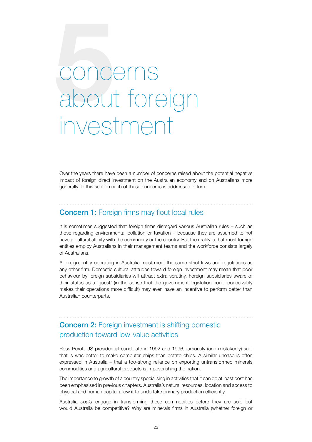# concerns<br>about fore about foreign investment

Over the years there have been a number of concerns raised about the potential negative impact of foreign direct investment on the Australian economy and on Australians more generally. In this section each of these concerns is addressed in turn.

### Concern 1: Foreign firms may flout local rules

It is sometimes suggested that foreign firms disregard various Australian rules – such as those regarding environmental pollution or taxation – because they are assumed to not have a cultural affinity with the community or the country. But the reality is that most foreign entities employ Australians in their management teams and the workforce consists largely of Australians.

A foreign entity operating in Australia must meet the same strict laws and regulations as any other firm. Domestic cultural attitudes toward foreign investment may mean that poor behaviour by foreign subsidiaries will attract extra scrutiny. Foreign subsidiaries aware of their status as a 'guest' (in the sense that the government legislation could conceivably makes their operations more difficult) may even have an incentive to perform better than Australian counterparts.

### Concern 2: Foreign investment is shifting domestic production toward low-value activities

Ross Perot, US presidential candidate in 1992 and 1996, famously (and mistakenly) said that is was better to make computer chips than potato chips. A similar unease is often expressed in Australia – that a too-strong reliance on exporting untransformed minerals commodities and agricultural products is impoverishing the nation.

The importance to growth of a country specialising in activities that it can do at least cost has been emphasised in previous chapters. Australia's natural resources, location and access to physical and human capital allow it to undertake primary production efficiently.

Australia *could* engage in transforming these commodities before they are sold but would Australia be competitive? Why are minerals firms in Australia (whether foreign or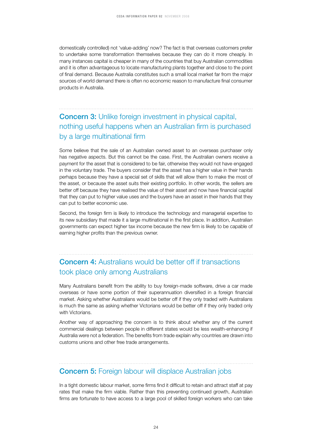domestically controlled) not 'value-adding' now? The fact is that overseas customers prefer to undertake some transformation themselves because they can do it more cheaply. In many instances capital is cheaper in many of the countries that buy Australian commodities and it is often advantageous to locate manufacturing plants together and close to the point of final demand. Because Australia constitutes such a small local market far from the major sources of world demand there is often no economic reason to manufacture final consumer products in Australia.

### **Concern 3:** Unlike foreign investment in physical capital, nothing useful happens when an Australian firm is purchased by a large multinational firm

Some believe that the sale of an Australian owned asset to an overseas purchaser only has negative aspects. But this cannot be the case. First, the Australian owners receive a payment for the asset that is considered to be fair, otherwise they would not have engaged in the voluntary trade. The buyers consider that the asset has a higher value in their hands perhaps because they have a special set of skills that will allow them to make the most of the asset, or because the asset suits their existing portfolio. In other words, the sellers are better off because they have realised the value of their asset and now have financial capital that they can put to higher value uses and the buyers have an asset in their hands that they can put to better economic use.

Second, the foreign firm is likely to introduce the technology and managerial expertise to its new subsidiary that made it a large multinational in the first place. In addition, Australian governments can expect higher tax income because the new firm is likely to be capable of earning higher profits than the previous owner.

### Concern 4: Australians would be better off if transactions took place only among Australians

Many Australians benefit from the ability to buy foreign-made software, drive a car made overseas or have some portion of their superannuation diversified in a foreign financial market. Asking whether Australians would be better off if they only traded with Australians is much the same as asking whether Victorians would be better off if they only traded only with Victorians.

Another way of approaching the concern is to think about whether any of the current commercial dealings between people in different states would be less wealth-enhancing if Australia were not a federation. The benefits from trade explain why countries are drawn into customs unions and other free trade arrangements.

### Concern 5: Foreign labour will displace Australian jobs

In a tight domestic labour market, some firms find it difficult to retain and attract staff at pay rates that make the firm viable. Rather than this preventing continued growth, Australian firms are fortunate to have access to a large pool of skilled foreign workers who can take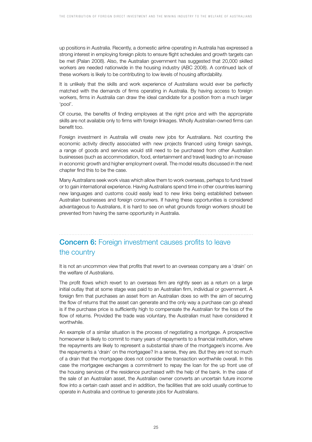up positions in Australia. Recently, a domestic airline operating in Australia has expressed a strong interest in employing foreign pilots to ensure flight schedules and growth targets can be met (Palan 2008). Also, the Australian government has suggested that 20,000 skilled workers are needed nationwide in the housing industry (ABC 2008). A continued lack of these workers is likely to be contributing to low levels of housing affordability.

It is unlikely that the skills and work experience of Australians would ever be perfectly matched with the demands of firms operating in Australia. By having access to foreign workers, firms in Australia can draw the ideal candidate for a position from a much larger 'pool'.

Of course, the benefits of finding employees at the right price and with the appropriate skills are not available only to firms with foreign linkages. Wholly Australian-owned firms can benefit too.

Foreign investment in Australia will create new jobs for Australians. Not counting the economic activity directly associated with new projects financed using foreign savings, a range of goods and services would still need to be purchased from other Australian businesses (such as accommodation, food, entertainment and travel) leading to an increase in economic growth and higher employment overall. The model results discussed in the next chapter find this to be the case.

Many Australians seek work visas which allow them to work overseas, perhaps to fund travel or to gain international experience. Having Australians spend time in other countries learning new languages and customs could easily lead to new links being established between Australian businesses and foreign consumers. If having these opportunities is considered advantageous to Australians, it is hard to see on what grounds foreign workers should be prevented from having the same opportunity in Australia.

### **Concern 6:** Foreign investment causes profits to leave the country

It is not an uncommon view that profits that revert to an overseas company are a 'drain' on the welfare of Australians.

The profit flows which revert to an overseas firm are rightly seen as a return on a large initial outlay that at some stage was paid to an Australian firm, individual or government. A foreign firm that purchases an asset from an Australian does so with the aim of securing the flow of returns that the asset can generate and the only way a purchase can go ahead is if the purchase price is sufficiently high to compensate the Australian for the loss of the flow of returns. Provided the trade was voluntary, the Australian must have considered it worthwhile.

An example of a similar situation is the process of negotiating a mortgage. A prospective homeowner is likely to commit to many years of repayments to a financial institution, where the repayments are likely to represent a substantial share of the mortgagee's income. Are the repayments a 'drain' on the mortgagee? In a sense, they are. But they are not so much of a drain that the mortgagee does not consider the transaction worthwhile overall. In this case the mortgagee exchanges a commitment to repay the loan for the up front use of the housing services of the residence purchased with the help of the bank. In the case of the sale of an Australian asset, the Australian owner converts an uncertain future income flow into a certain cash asset and in addition, the facilities that are sold usually continue to operate in Australia and continue to generate jobs for Australians.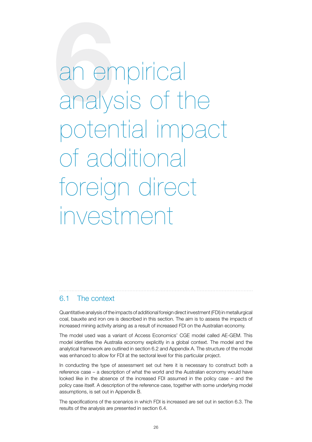**6**an empirical analysis of the potential impact of additional foreign direct investment

### 6.1 The context

Quantitative analysis of the impacts of additional foreign direct investment (FDI) in metallurgical coal, bauxite and iron ore is described in this section. The aim is to assess the impacts of increased mining activity arising as a result of increased FDI on the Australian economy.

The model used was a variant of Access Economics' CGE model called AE-GEM. This model identifies the Australia economy explicitly in a global context. The model and the analytical framework are outlined in section 6.2 and Appendix A. The structure of the model was enhanced to allow for FDI at the sectoral level for this particular project.

In conducting the type of assessment set out here it is necessary to construct both a reference case – a description of what the world and the Australian economy would have looked like in the absence of the increased FDI assumed in the policy case – and the policy case itself. A description of the reference case, together with some underlying model assumptions, is set out in Appendix B.

The specifications of the scenarios in which FDI is increased are set out in section 6.3. The results of the analysis are presented in section 6.4.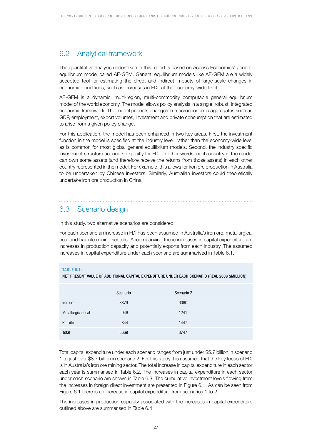### 6.2 Analytical framework

The quantitative analysis undertaken in this report is based on Access Economics' general equilibrium model called AE-GEM. General equilibrium models like AE-GEM are a widely accepted tool for estimating the direct and indirect impacts of large-scale changes in economic conditions, such as increases in FDI, at the economy-wide level.

AE-GEM is a dynamic, multi-region, multi-commodity computable general equilibrium model of the world economy. The model allows policy analysis in a single, robust, integrated economic framework. The model projects changes in macroeconomic aggregates such as GDP, employment, export volumes, investment and private consumption that are estimated to arise from a given policy change.

For this application, the model has been enhanced in two key areas. First, the investment function in the model is specified at the industry level, rather than the economy-wide level as is common for most global general equilibrium models. Second, the industry specific investment structure accounts explicitly for FDI. In other words, each country in the model can own some assets (and therefore receive the returns from those assets) in each other country represented in the model. For example, this allows for iron ore production in Australia to be undertaken by Chinese investors. Similarly, Australian investors could theoretically undertake iron ore production in China.

### 6.3 Scenario design

In this study, two alternative scenarios are considered.

For each scenario an increase in FDI has been assumed in Australia's iron ore, metallurgical coal and bauxite mining sectors. Accompanying these increases in capital expenditure are increases in production capacity and potentially exports from each industry. The assumed increases in capital expenditure under each scenario are summarised in Table 6.1.

### **TABLE 6.1:**

NET PRESENT VALUE OF ADDITIONAL CAPITAL EXPENDITURE UNDER EACH SCENARIO (REAL 2008 \$MILLION)

|                    | Scenario 1 | Scenario 2 |
|--------------------|------------|------------|
| Iron ore           | 3879       | 6060       |
| Metallurgical coal | 946        | 1241       |
| Bauxite            | 844        | 1447       |
| Total              | 5669       | 8747       |

Total capital expenditure under each scenario ranges from just under \$5.7 billion in scenario 1 to just over \$8.7 billion in scenario 2. For this study it is assumed that the key focus of FDI is in Australia's iron ore mining sector. The total increase in capital expenditure in each sector each year is summarised in Table 6.2. The increases in capital expenditure in each sector under each scenario are shown in Table 6.3. The cumulative investment levels flowing from the increases in foreign direct investment are presented in Figure 6.1. As can be seen from Figure 6.1 there is an increase in capital expenditure from scenarios 1 to 2.

The increases in production capacity associated with the increases in capital expenditure outlined above are summarised in Table 6.4.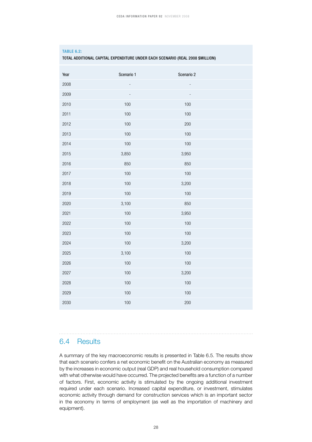### **TABLE 6.2:**

TOTAL ADDITIONAL CAPITAL EXPENDITURE UNDER EACH SCENARIO (REAL 2008 \$MILLION)

| Year | Scenario 1 | Scenario 2 |
|------|------------|------------|
| 2008 |            |            |
| 2009 |            |            |
| 2010 | 100        | 100        |
| 2011 | 100        | 100        |
| 2012 | 100        | 200        |
| 2013 | 100        | 100        |
| 2014 | 100        | 100        |
| 2015 | 3,850      | 3,950      |
| 2016 | 850        | 850        |
| 2017 | 100        | 100        |
| 2018 | 100        | 3,200      |
| 2019 | 100        | 100        |
| 2020 | 3,100      | 850        |
| 2021 | 100        | 3,950      |
| 2022 | 100        | 100        |
| 2023 | 100        | 100        |
| 2024 | 100        | 3,200      |
| 2025 | 3,100      | 100        |
| 2026 | 100        | 100        |
| 2027 | 100        | 3,200      |
| 2028 | 100        | 100        |
| 2029 | 100        | 100        |
| 2030 | 100        | 200        |

### 6.4 Results

A summary of the key macroeconomic results is presented in Table 6.5. The results show that each scenario confers a net economic benefit on the Australian economy as measured by the increases in economic output (real GDP) and real household consumption compared with what otherwise would have occurred. The projected benefits are a function of a number of factors. First, economic activity is stimulated by the ongoing additional investment required under each scenario. Increased capital expenditure, or investment, stimulates economic activity through demand for construction services which is an important sector in the economy in terms of employment (as well as the importation of machinery and equipment).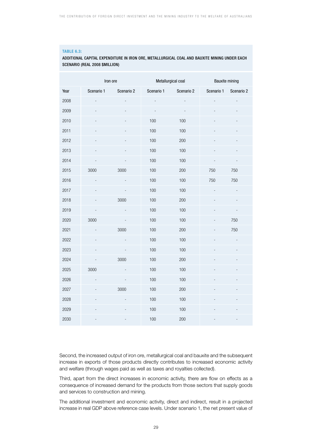### **TABLE 6.3:**

### ADDITIONAL CAPITAL EXPENDITURE IN IRON ORE, METALLURGICAL COAL AND BAUXITE MINING UNDER EACH SCENARIO (REAL 2008 \$MILLION)

|      | Iron ore   |            |            | Metallurgical coal | <b>Bauxite mining</b> |            |
|------|------------|------------|------------|--------------------|-----------------------|------------|
| Year | Scenario 1 | Scenario 2 | Scenario 1 | Scenario 2         | Scenario 1            | Scenario 2 |
| 2008 |            |            |            |                    |                       |            |
| 2009 |            |            |            |                    |                       |            |
| 2010 |            |            | 100        | 100                |                       |            |
| 2011 |            |            | 100        | 100                |                       |            |
| 2012 |            |            | 100        | 200                |                       |            |
| 2013 |            |            | 100        | 100                |                       |            |
| 2014 |            |            | 100        | 100                |                       |            |
| 2015 | 3000       | 3000       | 100        | 200                | 750                   | 750        |
| 2016 |            |            | 100        | 100                | 750                   | 750        |
| 2017 |            |            | 100        | 100                |                       |            |
| 2018 |            | 3000       | 100        | 200                |                       |            |
| 2019 |            |            | 100        | 100                |                       |            |
| 2020 | 3000       |            | 100        | 100                |                       | 750        |
| 2021 |            | 3000       | 100        | 200                |                       | 750        |
| 2022 |            |            | 100        | 100                |                       |            |
| 2023 |            |            | 100        | 100                |                       |            |
| 2024 |            | 3000       | 100        | 200                |                       |            |
| 2025 | 3000       |            | 100        | 100                |                       |            |
| 2026 |            |            | 100        | 100                |                       |            |
| 2027 |            | 3000       | 100        | 200                |                       |            |
| 2028 |            |            | 100        | 100                |                       |            |
| 2029 |            |            | 100        | 100                |                       |            |
| 2030 |            |            | 100        | 200                |                       |            |

Second, the increased output of iron ore, metallurgical coal and bauxite and the subsequent increase in exports of those products directly contributes to increased economic activity and welfare (through wages paid as well as taxes and royalties collected).

Third, apart from the direct increases in economic activity, there are flow on effects as a consequence of increased demand for the products from those sectors that supply goods and services to construction and mining.

The additional investment and economic activity, direct and indirect, result in a projected increase in real GDP above reference case levels. Under scenario 1, the net present value of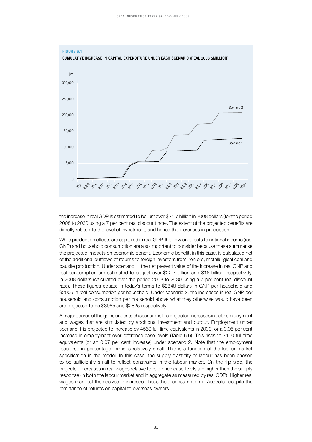

the increase in real GDP is estimated to be just over \$21.7 billion in 2008 dollars (for the period 2008 to 2030 using a 7 per cent real discount rate). The extent of the projected benefits are directly related to the level of investment, and hence the increases in production.

While production effects are captured in real GDP, the flow on effects to national income (real GNP) and household consumption are also important to consider because these summarise the projected impacts on economic benefit. Economic benefit, in this case, is calculated net of the additional outflows of returns to foreign investors from iron ore, metallurgical coal and bauxite production. Under scenario 1, the net present value of the increase in real GNP and real consumption are estimated to be just over \$22.7 billion and \$16 billion, respectively, in 2008 dollars (calculated over the period 2008 to 2030 using a 7 per cent real discount rate). These figures equate in today's terms to \$2848 dollars in GNP per household and \$2005 in real consumption per household. Under scenario 2, the increases in real GNP per household and consumption per household above what they otherwise would have been are projected to be \$3965 and \$2825 respectively.

A major source of the gains under each scenario is the projected increases in both employment and wages that are stimulated by additional investment and output. Employment under scenario 1 is projected to increase by 4560 full time equivalents in 2030, or a 0.05 per cent increase in employment over reference case levels (Table 6.6). This rises to 7150 full time equivalents (or an 0.07 per cent increase) under scenario 2. Note that the employment response in percentage terms is relatively small. This is a function of the labour market specification in the model. In this case, the supply elasticity of labour has been chosen to be sufficiently small to reflect constraints in the labour market. On the flip side, the projected increases in real wages relative to reference case levels are higher than the supply response (in both the labour market and in aggregate as measured by real GDP). Higher real wages manifest themselves in increased household consumption in Australia, despite the remittance of returns on capital to overseas owners.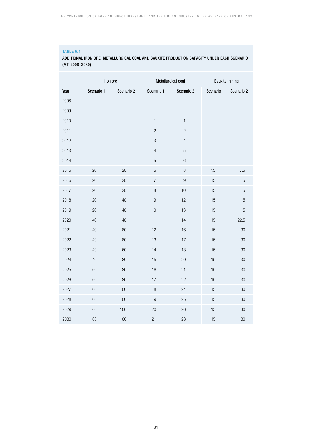### **Table 6.4:**

### Additional iron ore, metallurgical coal and bauxite production capacity under each scenario (Mt, 2008–2030)

|      | Iron ore   |            |                  | Metallurgical coal | <b>Bauxite mining</b> |            |
|------|------------|------------|------------------|--------------------|-----------------------|------------|
| Year | Scenario 1 | Scenario 2 | Scenario 1       | Scenario 2         | Scenario 1            | Scenario 2 |
| 2008 |            |            |                  |                    |                       |            |
| 2009 |            |            |                  |                    |                       |            |
| 2010 |            |            | $\mathbf{1}$     | $\mathbf{1}$       |                       |            |
| 2011 |            |            | $\overline{c}$   | $\overline{c}$     |                       |            |
| 2012 |            |            | $\mathfrak{S}$   | $\overline{4}$     |                       |            |
| 2013 |            |            | $\sqrt{4}$       | $\mathbf 5$        |                       |            |
| 2014 |            |            | $\overline{5}$   | $\,6$              |                       |            |
| 2015 | 20         | 20         | $\,6\,$          | $\, 8$             | 7.5                   | 7.5        |
| 2016 | 20         | 20         | $\overline{7}$   | $\boldsymbol{9}$   | 15                    | 15         |
| 2017 | 20         | 20         | $\, 8$           | 10                 | 15                    | 15         |
| 2018 | $20\,$     | 40         | $\boldsymbol{9}$ | 12                 | 15                    | 15         |
| 2019 | 20         | 40         | 10               | 13                 | 15                    | 15         |
| 2020 | 40         | 40         | 11               | 14                 | 15                    | 22.5       |
| 2021 | 40         | 60         | 12               | 16                 | 15                    | $30\,$     |
| 2022 | 40         | 60         | 13               | 17                 | 15                    | 30         |
| 2023 | 40         | 60         | 14               | 18                 | 15                    | $30\,$     |
| 2024 | 40         | 80         | 15               | $20\,$             | 15                    | $30\,$     |
| 2025 | 60         | 80         | 16               | 21                 | 15                    | $30\,$     |
| 2026 | 60         | 80         | 17               | 22                 | 15                    | 30         |
| 2027 | 60         | 100        | 18               | 24                 | 15                    | 30         |
| 2028 | 60         | 100        | 19               | 25                 | 15                    | $30\,$     |
| 2029 | 60         | 100        | 20               | 26                 | 15                    | $30\,$     |
| 2030 | 60         | 100        | 21               | 28                 | 15                    | $30\,$     |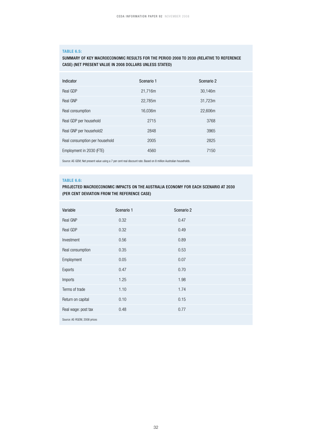### **TABLE 6.5:**

### SUMMARY OF KEY MACROECONOMIC RESULTS FOR THE PERIOD 2008 TO 2030 (RELATIVE TO REFERENCE CASE) (NET PRESENT VALUE IN 2008 DOLLARS UNLESS STATED)

| Indicator                      | Scenario 1 | Scenario 2 |
|--------------------------------|------------|------------|
| Real GDP                       | 21,716m    | 30,146m    |
| Real GNP                       | 22,785m    | 31,723m    |
| Real consumption               | 16,036m    | 22,606m    |
| Real GDP per household         | 2715       | 3768       |
| Real GNP per household2        | 2848       | 3965       |
| Real consumption per household | 2005       | 2825       |
| Employment in 2030 (FTE)       | 4560       | 7150       |

Source: AE-GEM; Net present value using a 7 per cent real discount rate. Based on 8 million Australian households.

### **TABLE 6.6:**

### PROJECTED MACROECONOMIC IMPACTS ON THE AUSTRALIA ECONOMY FOR EACH SCENARIO AT 2030 (PER CENT DEVIATION FROM THE REFERENCE CASE)

| Variable                     | Scenario 1 | Scenario 2 |
|------------------------------|------------|------------|
| Real GNP                     | 0.32       | 0.47       |
| Real GDP                     | 0.32       | 0.49       |
| Investment                   | 0.56       | 0.89       |
| Real consumption             | 0.35       | 0.53       |
| Employment                   | 0.05       | 0.07       |
| Exports                      | 0.47       | 0.70       |
| Imports                      | 1.25       | 1.98       |
| Terms of trade               | 1.10       | 1.74       |
| Return on capital            | 0.10       | 0.15       |
| Real wage: post tax          | 0.48       | 0.77       |
| Source: AE-RGEM, 2008 prices |            |            |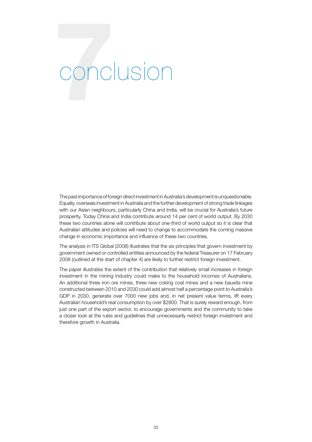### **7**conclusion

The past importance of foreign direct investment in Australia's development is unquestionable. Equally, overseas investment in Australia and the further development of strong trade linkages with our Asian neighbours, particularly China and India, will be crucial for Australia's future prosperity. Today China and India contribute around 14 per cent of world output. By 2030 these two countries alone will contribute about one-third of world output so it is clear that Australian attitudes and policies will need to change to accommodate the coming massive change in economic importance and influence of these two countries.

The analysis in ITS Global (2008) illustrates that the six principles that govern investment by government owned or controlled entities announced by the federal Treasurer on 17 February 2008 (outlined at the start of chapter 4) are likely to further restrict foreign investment.

The paper illustrates the extent of the contribution that relatively small increases in foreign investment in the mining industry could make to the household incomes of Australians. An additional three iron ore mines, three new coking coal mines and a new bauxite mine constructed between 2010 and 2030 could add almost half a percentage point to Australia's GDP in 2030, generate over 7000 new jobs and, in net present value terms, lift every Australian household's real consumption by over \$2800. That is surely reward enough, from just one part of the export sector, to encourage governments and the community to take a closer look at the rules and guidelines that unnecessarily restrict foreign investment and therefore growth in Australia.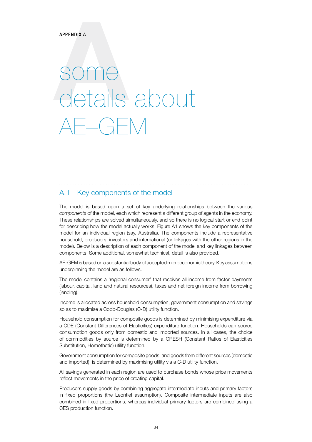# **APPENDIX A**<br>Some details about  $- (-$

### A.1 Key components of the model

The model is based upon a set of key underlying relationships between the various *components* of the model, each which represent a different group of agents in the economy. These relationships are solved simultaneously, and so there is no logical start or end point for describing how the model actually works. Figure A1 shows the key components of the model for an individual region (say, Australia). The components include a representative household, producers, investors and international (or linkages with the other regions in the model). Below is a description of each component of the model and key linkages between components. Some additional, somewhat technical, detail is also provided.

AE-GEM is based on a substantial body of accepted microeconomic theory. Key assumptions underpinning the model are as follows.

The model contains a 'regional consumer' that receives all income from factor payments (labour, capital, land and natural resources), taxes and net foreign income from borrowing (lending).

Income is allocated across household consumption, government consumption and savings so as to maximise a Cobb-Douglas (C-D) utility function.

Household consumption for composite goods is determined by minimising expenditure via a CDE (Constant Differences of Elasticities) expenditure function. Households can source consumption goods only from domestic and imported sources. In all cases, the choice of commodities by source is determined by a CRESH (Constant Ratios of Elasticities Substitution, Homothetic) utility function.

Government consumption for composite goods, and goods from different sources (domestic and imported), is determined by maximising utility via a C-D utility function.

All savings generated in each region are used to purchase bonds whose price movements reflect movements in the price of creating capital.

Producers supply goods by combining aggregate intermediate inputs and primary factors in fixed proportions (the Leontief assumption). Composite intermediate inputs are also combined in fixed proportions, whereas individual primary factors are combined using a CES production function.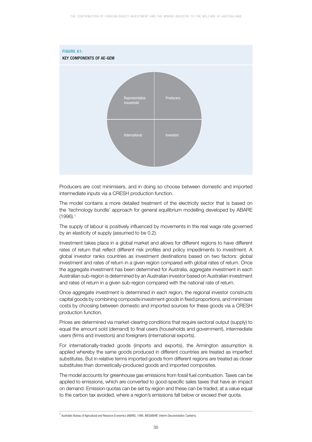

Producers are cost minimisers, and in doing so choose between domestic and imported intermediate inputs via a CRESH production function.

The model contains a more detailed treatment of the electricity sector that is based on the 'technology bundle' approach for general equilibrium modelling developed by ABARE (1996).1

The supply of labour is positively influenced by movements in the real wage rate governed by an elasticity of supply (assumed to be 0.2).

Investment takes place in a global market and allows for different regions to have different rates of return that reflect different risk profiles and policy impediments to investment. A global investor ranks countries as investment destinations based on two factors: global investment and rates of return in a given region compared with global rates of return. Once the aggregate investment has been determined for Australia, aggregate investment in each Australian sub-region is determined by an Australian investor based on Australian investment and rates of return in a given sub-region compared with the national rate of return.

Once aggregate investment is determined in each region, the regional investor constructs capital goods by combining composite investment goods in fixed proportions, and minimises costs by choosing between domestic and imported sources for these goods via a CRESH production function.

Prices are determined via market-clearing conditions that require sectoral output (supply) to equal the amount sold (demand) to final users (households and government), intermediate users (firms and investors) and foreigners (international exports).

For internationally-traded goods (imports and exports), the Armington assumption is applied whereby the same goods produced in different countries are treated as imperfect substitutes. But in relative terms imported goods from different regions are treated as closer substitutes than domestically-produced goods and imported composites.

The model accounts for greenhouse gas emissions from fossil fuel combustion. Taxes can be applied to emissions, which are converted to good-specific sales taxes that have an impact on demand. Emission quotas can be set by region and these can be traded, at a value equal to the carbon tax avoided, where a region's emissions fall below or exceed their quota.

<sup>1</sup> Australian Bureau of Agricultural and Resource Economics (ABARE), 1996, *MEGABARE: Interim Documentation*, Canberra.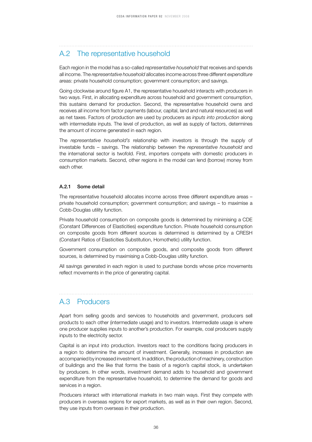### A.2 The representative household

Each region in the model has a so-called *representative household* that receives and spends all income. The *representative household* allocates income across three different *expenditure*  areas: private household consumption; government consumption; and savings.

Going clockwise around figure A1, the representative household interacts with producers in two ways. First, in allocating expenditure across household and government consumption, this sustains demand for production. Second, the representative household owns and receives all income from factor payments (labour, capital, land and natural resources) as well as net taxes. Factors of production are used by producers as *inputs into production* along with intermediate inputs. The level of production, as well as supply of factors, determines the amount of income generated in each region.

The *representative household's* relationship with investors is through the supply of investable funds – savings. The relationship between the *representative household* and the international sector is twofold. First, importers compete with domestic producers in consumption markets. Second, other regions in the model can lend (borrow) money from each other.

### A.2.1 Some detail

The representative household allocates income across three different expenditure areas – private household consumption; government consumption; and savings – to maximise a Cobb-Douglas utility function.

Private household consumption on composite goods is determined by minimising a CDE (Constant Differences of Elasticities) expenditure function. Private household consumption on composite goods from different sources is determined is determined by a CRESH (Constant Ratios of Elasticities Substitution, Homothetic) utility function.

Government consumption on composite goods, and composite goods from different sources, is determined by maximising a Cobb-Douglas utility function.

All savings generated in each region is used to purchase bonds whose price movements reflect movements in the price of generating capital.

### A.3 Producers

Apart from selling goods and services to households and government, producers sell products to each other (intermediate usage) and to investors. Intermediate usage is where one producer supplies inputs to another's production. For example, coal producers supply inputs to the electricity sector.

Capital is an input into production. Investors react to the conditions facing producers in a region to determine the amount of investment. Generally, increases in production are accompanied by increased investment. In addition, the production of machinery, construction of buildings and the like that forms the basis of a region's capital stock, is undertaken by producers. In other words, investment demand adds to household and government expenditure from the representative household, to determine the demand for goods and services in a region.

Producers interact with international markets in two main ways. First they compete with producers in overseas regions for export markets, as well as in their own region. Second, they use inputs from overseas in their production.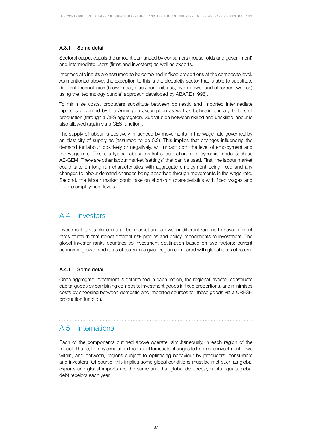### A.3.1 Some detail

Sectoral output equals the amount demanded by consumers (households and government) and intermediate users (firms and investors) as well as exports.

Intermediate inputs are assumed to be combined in fixed proportions at the composite level. As mentioned above, the exception to this is the electricity sector that is able to substitute different technologies (brown coal, black coal, oil, gas, hydropower and other renewables) using the 'technology bundle' approach developed by ABARE (1996).

To minimise costs, producers substitute between domestic and imported intermediate inputs is governed by the Armington assumption as well as between primary factors of production (through a CES aggregator). Substitution between skilled and unskilled labour is also allowed (again via a CES function).

The supply of labour is positively influenced by movements in the wage rate governed by an elasticity of supply as (assumed to be 0.2). This implies that changes influencing the demand for labour, positively or negatively, will impact both the level of employment and the wage rate. This is a typical labour market specification for a dynamic model such as AE-GEM. There are other labour market 'settings' that can be used. First, the labour market could take on long-run characteristics with aggregate employment being fixed and any changes to labour demand changes being absorbed through movements in the wage rate. Second, the labour market could take on short-run characteristics with fixed wages and flexible employment levels.

### A.4 Investors

Investment takes place in a global market and allows for different regions to have different rates of return that reflect different risk profiles and policy impediments to investment. The global investor ranks countries as investment destination based on two factors: current economic growth and rates of return in a given region compared with global rates of return.

### A.4.1 Some detail

Once aggregate investment is determined in each region, the regional investor constructs capital goods by combining composite investment goods in fixed proportions, and minimises costs by choosing between domestic and imported sources for these goods via a CRESH production function.

### A.5 International

Each of the components outlined above operate, simultaneously, in each region of the model. That is, for any simulation the model forecasts changes to trade and investment flows within, and between, regions subject to optimising behaviour by producers, consumers and investors. Of course, this implies some global conditions must be met such as global exports and global imports are the same and that global debt repayments equals global debt receipts each year.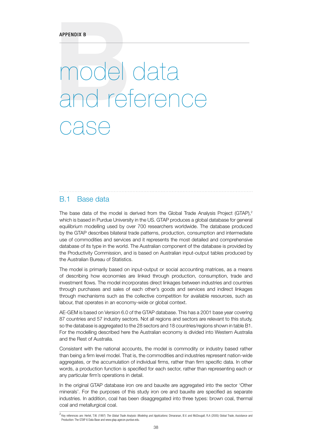### APPENDIX B<br>
MOOO odel data and reference case

### B.1 Base data

The base data of the model is derived from the Global Trade Analysis Project (GTAP),<sup>2</sup> which is based in Purdue University in the US. GTAP produces a global database for general equilibrium modelling used by over 700 researchers worldwide. The database produced by the GTAP describes bilateral trade patterns, production, consumption and intermediate use of commodities and services and it represents the most detailed and comprehensive database of its type in the world. The Australian component of the database is provided by the Productivity Commission, and is based on Australian input-output tables produced by the Australian Bureau of Statistics.

The model is primarily based on input-output or social accounting matrices, as a means of describing how economies are linked through production, consumption, trade and investment flows. The model incorporates direct linkages between industries and countries through purchases and sales of each other's goods and services and indirect linkages through mechanisms such as the collective competition for available resources, such as labour, that operates in an economy-wide or global context.

AE-GEM is based on Version 6.0 of the GTAP database. This has a 2001 base year covering 87 countries and 57 industry sectors. Not all regions and sectors are relevant to this study, so the database is aggregated to the 28 sectors and 18 countries/regions shown in table B1. For the modelling described here the Australian economy is divided into Western Australia and the Rest of Australia.

Consistent with the national accounts, the model is commodity or industry based rather than being a firm level model. That is, the commodities and industries represent nation-wide aggregates, or the accumulation of individual firms, rather than firm specific data. In other words, a production function is specified for each sector, rather than representing each or any particular firm's operations in detail.

In the original GTAP database iron ore and bauxite are aggregated into the sector 'Other minerals'. For the purposes of this study iron ore and bauxite are specified as separate industries. In addition, coal has been disaggregated into three types: brown coal, thermal coal and metallurgical coal.

<sup>2</sup> Key references are: Hertel, T.W. (1997) *The Global Trade Analysis: Modeling and Applications*; Dimaranan, B.V. and McDougall, R.A (2005) Global Trade, Assistance and Production: The GTAP 6 Data Base and www.gtap.agecon.purdue.edu.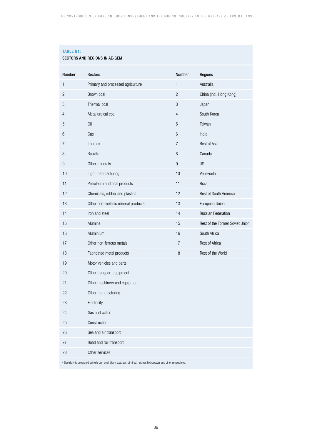### **TABLE B1:**

| SECTORS AND REGIONS IN AE-GEM |  |  |  |  |
|-------------------------------|--|--|--|--|
|-------------------------------|--|--|--|--|

| Number                                                                                                             | Sectors                             | Number       | Regions                         |  |  |
|--------------------------------------------------------------------------------------------------------------------|-------------------------------------|--------------|---------------------------------|--|--|
| $\mathbf{1}$                                                                                                       | Primary and processed agriculture   | $\mathbf{1}$ | Australia                       |  |  |
| 2                                                                                                                  | Brown coal                          | 2            | China (incl. Hong Kong)         |  |  |
| 3                                                                                                                  | Thermal coal                        | 3            | Japan                           |  |  |
| 4                                                                                                                  | Metallurgical coal                  | 4            | South Korea                     |  |  |
| 5                                                                                                                  | 0il                                 | 5            | Taiwan                          |  |  |
| 6                                                                                                                  | Gas                                 | 6            | India                           |  |  |
| 7                                                                                                                  | Iron ore                            | 7            | Rest of Asia                    |  |  |
| 8                                                                                                                  | Bauxite                             | 8            | Canada                          |  |  |
| 9                                                                                                                  | Other minerals                      | 9            | <b>US</b>                       |  |  |
| 10                                                                                                                 | Light manufacturing                 | 10           | Venezuela                       |  |  |
| 11                                                                                                                 | Petroleum and coal products         | 11           | <b>Brazil</b>                   |  |  |
| 12                                                                                                                 | Chemicals, rubber and plastics      | 12           | Rest of South America           |  |  |
| 13                                                                                                                 | Other non-metallic mineral products | 13           | European Union                  |  |  |
| 14                                                                                                                 | Iron and steel                      | 14           | <b>Russian Federation</b>       |  |  |
| 15                                                                                                                 | Alumina                             | 15           | Rest of the Former Soviet Union |  |  |
| 16                                                                                                                 | Aluminium                           | 16           | South Africa                    |  |  |
| 17                                                                                                                 | Other non-ferrous metals            | 17           | Rest of Africa                  |  |  |
| 18                                                                                                                 | Fabricated metal products           | 18           | Rest of the World               |  |  |
| 19                                                                                                                 | Motor vehicles and parts            |              |                                 |  |  |
| 20                                                                                                                 | Other transport equipment           |              |                                 |  |  |
| 21                                                                                                                 | Other machinery and equipment       |              |                                 |  |  |
| 22                                                                                                                 | Other manufacturing                 |              |                                 |  |  |
| 23                                                                                                                 | Electricity                         |              |                                 |  |  |
| 24                                                                                                                 | Gas and water                       |              |                                 |  |  |
| 25                                                                                                                 | Construction                        |              |                                 |  |  |
| 26                                                                                                                 | Sea and air transport               |              |                                 |  |  |
| 27                                                                                                                 | Road and rail transport             |              |                                 |  |  |
| 28                                                                                                                 | Other services                      |              |                                 |  |  |
| a Electricity is generated using brown coal, black coal, gas, oil-fired, nuclear, hydropower and other renewables. |                                     |              |                                 |  |  |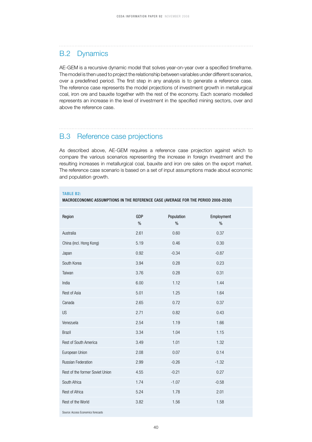### B.2 Dynamics

AE-GEM is a recursive dynamic model that solves year-on-year over a specified timeframe. The model is then used to project the relationship between variables under different scenarios, over a predefined period. The first step in any analysis is to generate a reference case. The reference case represents the model projections of investment growth in metallurgical coal, iron ore and bauxite together with the rest of the economy. Each scenario modelled represents an increase in the level of investment in the specified mining sectors, over and above the reference case.

### B.3 Reference case projections

As described above, AE-GEM requires a reference case projection against which to compare the various scenarios representing the increase in foreign investment and the resulting increases in metallurgical coal, bauxite and iron ore sales on the export market. The reference case scenario is based on a set of input assumptions made about economic and population growth.

### **TABLE B2:**

MACROECONOMIC ASSUMPTIONS IN THE REFERENCE CASE (AVERAGE FOR THE PERIOD 2008-2030)

| Region                             | <b>GDP</b><br>$\%$ | Population<br>$\%$ | Employment<br>$\%$ |
|------------------------------------|--------------------|--------------------|--------------------|
| Australia                          | 2.61               | 0.60               | 0.37               |
| China (incl. Hong Kong)            | 5.19               | 0.46               | 0.30               |
| Japan                              | 0.92               | $-0.34$            | $-0.87$            |
| South Korea                        | 3.94               | 0.28               | 0.23               |
| Taiwan                             | 3.76               | 0.28               | 0.31               |
| India                              | 6.00               | 1.12               | 1.44               |
| Rest of Asia                       | 5.01               | 1.25               | 1.64               |
| Canada                             | 2.65               | 0.72               | 0.37               |
| <b>US</b>                          | 2.71               | 0.82               | 0.43               |
| Venezuela                          | 2.54               | 1.19               | 1.66               |
| <b>Brazil</b>                      | 3.34               | 1.04               | 1.15               |
| Rest of South America              | 3.49               | 1.01               | 1.32               |
| European Union                     | 2.08               | 0.07               | 0.14               |
| Russian Federation                 | 2.99               | $-0.26$            | $-1.32$            |
| Rest of the former Soviet Union    | 4.55               | $-0.21$            | 0.27               |
| South Africa                       | 1.74               | $-1.07$            | $-0.58$            |
| Rest of Africa                     | 5.24               | 1.78               | 2.01               |
| Rest of the World                  | 3.82               | 1.56               | 1.58               |
| Source: Access Economics forecasts |                    |                    |                    |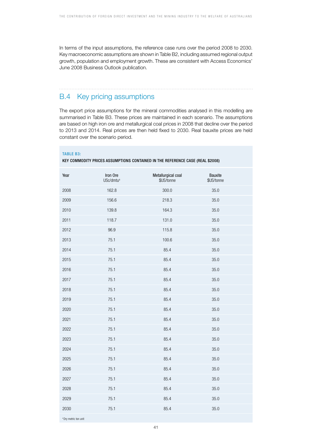In terms of the input assumptions, the reference case runs over the period 2008 to 2030. Key macroeconomic assumptions are shown in Table B2, including assumed regional output growth, population and employment growth. These are consistent with Access Economics' June 2008 Business Outlook publication.

### B.4 Key pricing assumptions

The export price assumptions for the mineral commodities analysed in this modelling are summarised in Table B3. These prices are maintained in each scenario. The assumptions are based on high iron ore and metallurgical coal prices in 2008 that decline over the period to 2013 and 2014. Real prices are then held fixed to 2030. Real bauxite prices are held constant over the scenario period.

| <b>TABLE B3:</b><br>KEY COMMODITY PRICES ASSUMPTIONS CONTAINED IN THE REFERENCE CASE (REAL \$2008) |                                   |                                  |                       |  |  |  |
|----------------------------------------------------------------------------------------------------|-----------------------------------|----------------------------------|-----------------------|--|--|--|
| Year                                                                                               | Iron Ore<br>USc/dmtu <sup>a</sup> | Metallurgical coal<br>\$US/tonne | Bauxite<br>\$US/tonne |  |  |  |
| 2008                                                                                               | 162.8                             | 300.0                            | 35.0                  |  |  |  |
| 2009                                                                                               | 156.6                             | 218.3                            | 35.0                  |  |  |  |
| 2010                                                                                               | 139.8                             | 164.3                            | 35.0                  |  |  |  |
| 2011                                                                                               | 118.7                             | 131.0                            | 35.0                  |  |  |  |
| 2012                                                                                               | 96.9                              | 115.8                            | 35.0                  |  |  |  |
| 2013                                                                                               | 75.1                              | 100.6                            | 35.0                  |  |  |  |
| 2014                                                                                               | 75.1                              | 85.4                             | 35.0                  |  |  |  |
| 2015                                                                                               | 75.1                              | 85.4                             | 35.0                  |  |  |  |
| 2016                                                                                               | 75.1                              | 85.4                             | 35.0                  |  |  |  |
| 2017                                                                                               | 75.1                              | 85.4                             | 35.0                  |  |  |  |
| 2018                                                                                               | 75.1                              | 85.4                             | 35.0                  |  |  |  |
| 2019                                                                                               | 75.1                              | 85.4                             | 35.0                  |  |  |  |
| 2020                                                                                               | 75.1                              | 85.4                             | 35.0                  |  |  |  |
| 2021                                                                                               | 75.1                              | 85.4                             | 35.0                  |  |  |  |
| 2022                                                                                               | 75.1                              | 85.4                             | 35.0                  |  |  |  |
| 2023                                                                                               | 75.1                              | 85.4                             | 35.0                  |  |  |  |
| 2024                                                                                               | 75.1                              | 85.4                             | 35.0                  |  |  |  |
| 2025                                                                                               | 75.1                              | 85.4                             | 35.0                  |  |  |  |
| 2026                                                                                               | 75.1                              | 85.4                             | 35.0                  |  |  |  |
| 2027                                                                                               | 75.1                              | 85.4                             | 35.0                  |  |  |  |
| 2028                                                                                               | 75.1                              | 85.4                             | 35.0                  |  |  |  |
| 2029                                                                                               | 75.1                              | 85.4                             | 35.0                  |  |  |  |
| 2030                                                                                               | 75.1                              | 85.4                             | 35.0                  |  |  |  |
| <sup>a</sup> Dry metric ton unit                                                                   |                                   |                                  |                       |  |  |  |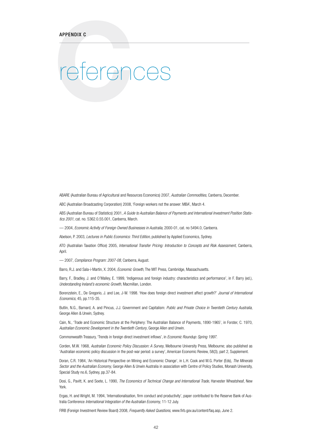### **C**references

ABARE (Australian Bureau of Agricultural and Resources Economics) 2007, *Australian Commodities*, Canberra, December.

ABC (Australian Broadcasting Corporation) 2008, 'Foreign workers not the answer: MBA', March 4.

ABS (Australian Bureau of Statistics) 2001, *A Guide to Australian Balance of Payments and International Investment Position Statistics 2001*, cat. no. 5362.0.55.001, Canberra, March.

–– 2004, *Economic Activity of Foreign Owned Businesses in Australia*, 2000-01, cat. no 5494.0, Canberra.

Abelson, P. 2003, *Lectures in Public Economics: Third Edition*, published by Applied Economics, Sydney.

ATO (Australian Taxation Office) 2005, *International Transfer Pricing: Introduction to Concepts and Risk Assessment*, Canberra, April.

–– 2007, *Compliance Program: 2007-08*, Canberra, August.

Barro, R.J. and Sala-i-Martin, X. 2004, *Economic Growth*, The MIT Press, Cambridge, Massachusetts.

Barry, F., Bradley, J. and O'Malley, E. 1999, 'Indigenous and foreign industry: characteristics and performance', in F. Barry (ed.), *Understanding Ireland's economic Growth*, Macmillan, London.

Borenzstein, E., De Gregorio, J. and Lee, J-W. 1998. 'How does foreign direct investment affect growth?' *Journal of International Economics*, 45, pp.115-35.

Butlin, N.G., Barnard, A. and Pincus, J.J. Government and Capitalism: *Public and Private Choice in Twentieth Century Australia*, George Allen & Unwin, Sydney.

Cain, N., 'Trade and Economic Structure at the Periphery: The Australian Balance of Payments, 1890-1965', in Forster, C. 1970, *Australian Economic Development in the Twentieth Century*, George Allen and Unwin.

Commonwealth Treasury, 'Trends in foreign direct investment inflows', in *Economic Roundup: Spring 1997*.

Corden, M.W. 1968, *Australian Economic Policy Discussion: A Survey*, Melbourne University Press, Melbourne; also published as 'Australian economic policy discussion in the post-war period: a survey', American Economic Review, 58(3), part 2, Supplement.

Doran, C.R. 1984, 'An Historical Perspective on Mining and Economic Change', in L.H. Cook and M.G. Porter (Eds), *The Minerals Sector and the Australian Economy*, George Allen & Unwin Australia in association with Centre of Policy Studies, Monash University, Special Study no.6, Sydney, pp.37-84.

Dosi, G., Pavitt, K. and Soete, L. 1990, *The Economics of Technical Change and International Trade*, Harvester Wheatsheaf, New York.

Ergas, H. and Wright, M. 1994, 'Internationalisation, firm conduct and productivity', paper contributed to the Reserve Bank of Australia Conference *International Integration of the Australian Economy*, 11-12 July.

FIRB (Foreign Investment Review Board) 2008, *Frequently Asked Questions*, www.firb.gov.au/content/faq.asp, June 2.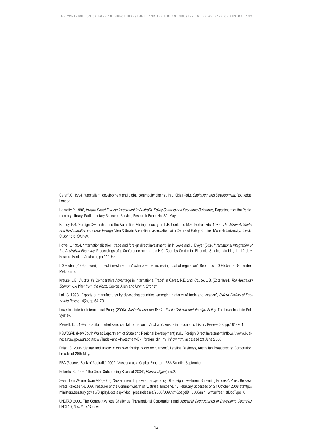Gereffi,G. 1994, 'Capitalism, development and global commodity chains', in L. Sklair (ed.), *Capitalism and Development*, Routledge, London.

Hanratty P. 1996, *Inward Direct Foreign Investment in Australia: Policy Controls and Economic Outcomes*, Department of the Parliamentary Library, Parliamentary Research Service, Research Paper No. 32, May.

Hartley, P.R. 'Foreign Ownership and the Australian Mining Industry' in L.H. Cook and M.G. Porter (Eds) 1984, *The Minerals Sector and the Australian Economy*, George Allen & Unwin Australia in association with Centre of Policy Studies, Monash University, Special Study no.6, Sydney.

Howe, J. 1994, 'Internationalisation, trade and foreign direct investment', in P. Lowe and J. Dwyer (Eds), *International Integration of the Australian Economy*, Proceedings of a Conference held at the H.C. Coombs Centre for Financial Studies, Kirribilli, 11-12 July, Reserve Bank of Australia, pp.111-55.

ITS Global (2008), 'Foreign direct investment in Australia – the increasing cost of regulation', Report by ITS Global, 9 September, Melbourne.

Krause, L.B. 'Australia's Comparative Advantage in International Trade' in Caves, R.E. and Krause, L.B. (Eds) 1984, *The Australian Economy: A View from the North*, George Allen and Unwin, Sydney.

Lall, S. 1998, 'Exports of manufactures by developing countries: emerging patterns of trade and location', *Oxford Review of Economic Policy*, 14(2), pp.54-73.

Lowy Institute for International Policy (2008), *Australia and the World: Public Opinion and Foreign Policy*, The Lowy Institute Poll, Sydney.

Merrett, D.T. 1997, 'Capital market sand capital formation in Australia', Australian Economic History Review, 37, pp.181-201.

NSWDSRD (New South Wales Department of State and Regional Development) n.d., 'Foreign Direct Investment Inflows', www.business.nsw.gov.au/aboutnsw /Trade+and+Investment/B7\_foreign\_dir\_inv\_inflow.htm, accessed 23 June 2008.

Palan, S. 2008 'Jetstar and unions clash over foreign pilots recruitment', Lateline Business, Australian Broadcasting Corporation, broadcast 26th May.

RBA (Reserve Bank of Australia) 2002, 'Australia as a Capital Exporter', RBA Bulletin, September.

Roberts, R. 2004, 'The Great Outsourcing Scare of 2004', *Hoover Digest,* no.2.

Swan, Hon Wayne Swan MP (2008), 'Government Improves Transparency Of Foreign Investment Screening Process', Press Release, Press Release No. 009, Treasurer of the Commonwealth of Australia, Brisbane, 17 February, accessed on 24 October 2008 at http:// ministers.treasury.gov.au/DisplayDocs.aspx?doc=pressreleases/2008/009.htm&pageID=003&min=wms&Year=&DocType=0

UNCTAD 2000, The Competitiveness Challenge: Transnational Corporations and *Industrial Restructuring in Developing Countries*, UNCTAD, New York/Geneva.